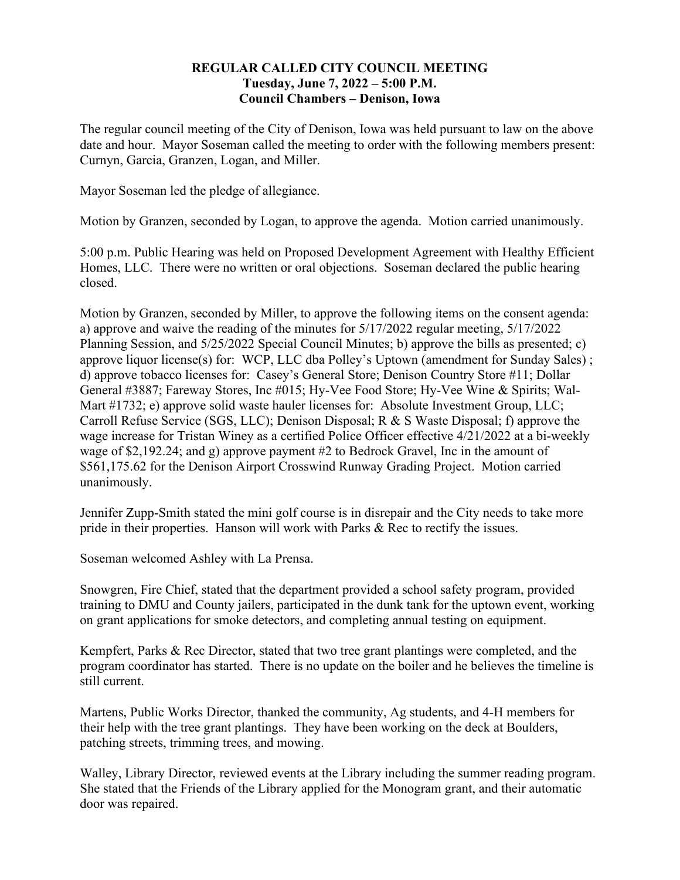## **REGULAR CALLED CITY COUNCIL MEETING Tuesday, June 7, 2022 – 5:00 P.M. Council Chambers – Denison, Iowa**

The regular council meeting of the City of Denison, Iowa was held pursuant to law on the above date and hour. Mayor Soseman called the meeting to order with the following members present: Curnyn, Garcia, Granzen, Logan, and Miller.

Mayor Soseman led the pledge of allegiance.

Motion by Granzen, seconded by Logan, to approve the agenda. Motion carried unanimously.

5:00 p.m. Public Hearing was held on Proposed Development Agreement with Healthy Efficient Homes, LLC. There were no written or oral objections. Soseman declared the public hearing closed.

Motion by Granzen, seconded by Miller, to approve the following items on the consent agenda: a) approve and waive the reading of the minutes for 5/17/2022 regular meeting, 5/17/2022 Planning Session, and 5/25/2022 Special Council Minutes; b) approve the bills as presented; c) approve liquor license(s) for: WCP, LLC dba Polley's Uptown (amendment for Sunday Sales) ; d) approve tobacco licenses for: Casey's General Store; Denison Country Store #11; Dollar General #3887; Fareway Stores, Inc #015; Hy-Vee Food Store; Hy-Vee Wine & Spirits; Wal-Mart #1732; e) approve solid waste hauler licenses for: Absolute Investment Group, LLC; Carroll Refuse Service (SGS, LLC); Denison Disposal; R & S Waste Disposal; f) approve the wage increase for Tristan Winey as a certified Police Officer effective 4/21/2022 at a bi-weekly wage of \$2,192.24; and g) approve payment #2 to Bedrock Gravel, Inc in the amount of \$561,175.62 for the Denison Airport Crosswind Runway Grading Project. Motion carried unanimously.

Jennifer Zupp-Smith stated the mini golf course is in disrepair and the City needs to take more pride in their properties. Hanson will work with Parks & Rec to rectify the issues.

Soseman welcomed Ashley with La Prensa.

Snowgren, Fire Chief, stated that the department provided a school safety program, provided training to DMU and County jailers, participated in the dunk tank for the uptown event, working on grant applications for smoke detectors, and completing annual testing on equipment.

Kempfert, Parks & Rec Director, stated that two tree grant plantings were completed, and the program coordinator has started. There is no update on the boiler and he believes the timeline is still current.

Martens, Public Works Director, thanked the community, Ag students, and 4-H members for their help with the tree grant plantings. They have been working on the deck at Boulders, patching streets, trimming trees, and mowing.

Walley, Library Director, reviewed events at the Library including the summer reading program. She stated that the Friends of the Library applied for the Monogram grant, and their automatic door was repaired.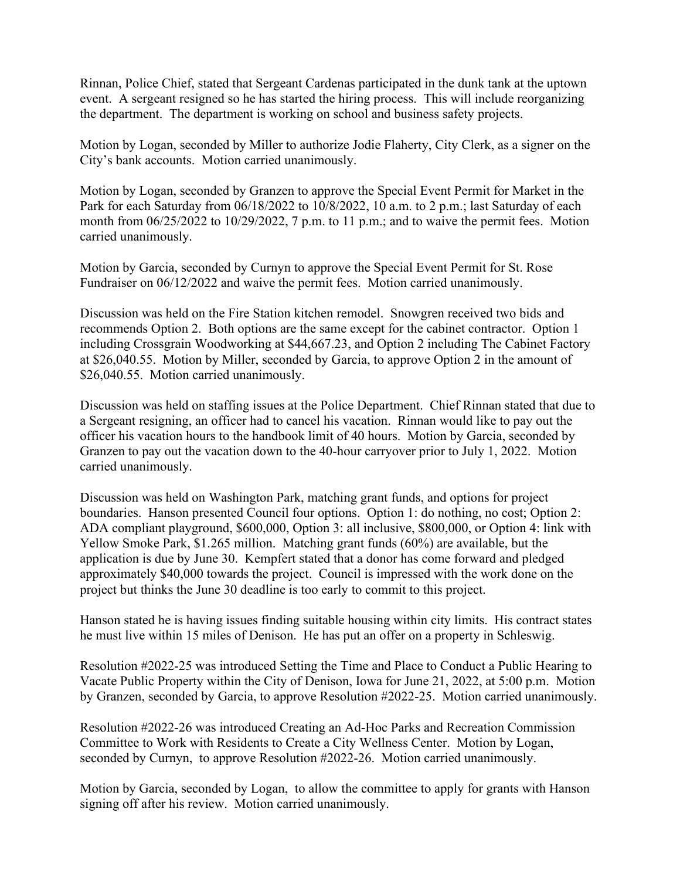Rinnan, Police Chief, stated that Sergeant Cardenas participated in the dunk tank at the uptown event. A sergeant resigned so he has started the hiring process. This will include reorganizing the department. The department is working on school and business safety projects.

Motion by Logan, seconded by Miller to authorize Jodie Flaherty, City Clerk, as a signer on the City's bank accounts. Motion carried unanimously.

Motion by Logan, seconded by Granzen to approve the Special Event Permit for Market in the Park for each Saturday from 06/18/2022 to 10/8/2022, 10 a.m. to 2 p.m.; last Saturday of each month from 06/25/2022 to 10/29/2022, 7 p.m. to 11 p.m.; and to waive the permit fees. Motion carried unanimously.

Motion by Garcia, seconded by Curnyn to approve the Special Event Permit for St. Rose Fundraiser on 06/12/2022 and waive the permit fees. Motion carried unanimously.

Discussion was held on the Fire Station kitchen remodel. Snowgren received two bids and recommends Option 2. Both options are the same except for the cabinet contractor. Option 1 including Crossgrain Woodworking at \$44,667.23, and Option 2 including The Cabinet Factory at \$26,040.55. Motion by Miller, seconded by Garcia, to approve Option 2 in the amount of \$26,040.55. Motion carried unanimously.

Discussion was held on staffing issues at the Police Department. Chief Rinnan stated that due to a Sergeant resigning, an officer had to cancel his vacation. Rinnan would like to pay out the officer his vacation hours to the handbook limit of 40 hours. Motion by Garcia, seconded by Granzen to pay out the vacation down to the 40-hour carryover prior to July 1, 2022. Motion carried unanimously.

Discussion was held on Washington Park, matching grant funds, and options for project boundaries. Hanson presented Council four options. Option 1: do nothing, no cost; Option 2: ADA compliant playground, \$600,000, Option 3: all inclusive, \$800,000, or Option 4: link with Yellow Smoke Park, \$1.265 million. Matching grant funds (60%) are available, but the application is due by June 30. Kempfert stated that a donor has come forward and pledged approximately \$40,000 towards the project. Council is impressed with the work done on the project but thinks the June 30 deadline is too early to commit to this project.

Hanson stated he is having issues finding suitable housing within city limits. His contract states he must live within 15 miles of Denison. He has put an offer on a property in Schleswig.

Resolution #2022-25 was introduced Setting the Time and Place to Conduct a Public Hearing to Vacate Public Property within the City of Denison, Iowa for June 21, 2022, at 5:00 p.m. Motion by Granzen, seconded by Garcia, to approve Resolution #2022-25. Motion carried unanimously.

Resolution #2022-26 was introduced Creating an Ad-Hoc Parks and Recreation Commission Committee to Work with Residents to Create a City Wellness Center. Motion by Logan, seconded by Curnyn, to approve Resolution #2022-26. Motion carried unanimously.

Motion by Garcia, seconded by Logan, to allow the committee to apply for grants with Hanson signing off after his review. Motion carried unanimously.